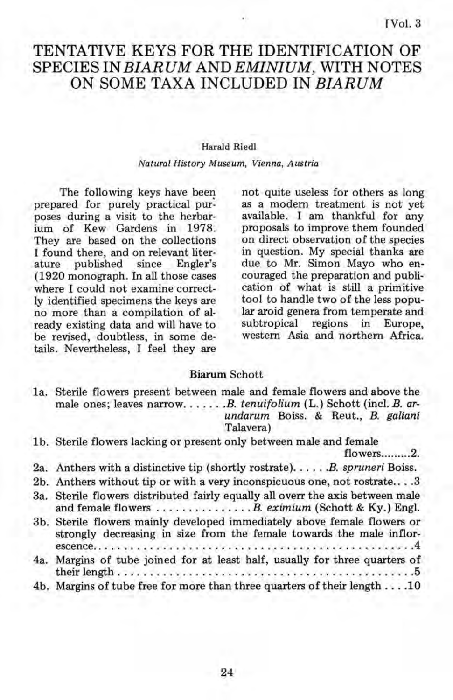# TENTATIVE KEYS FOR THE IDENTIFICATION OF SPECIES IN *BIAR UM* AND *EMINIUM,* WITH NOTES ON SOME TAXA INCLUDED IN *BIARUM*

#### Harald Riedl

#### *Natural History Museum, Vienna, Austria*

The following keys have been prepared for purely practical pur: poses during a visit to the herbarium of Kew Gardens in 1978. They are based on the collections I found there, and on relevant liter-<br>ature published since Engler's published (1920 monograph. In all those cases where I could not examine correctly identified specimens the keys are no more than a compilation of already existing data and will have to be revised, doubtless, in some details. Nevertheless, I feel they are

not quite useless for others as long as a modem treatment is not yet available. I am thankful for any proposals to improve them founded on direct observation of the species in question. My special thanks are due to Mr. Simon Mayo who encouraged the preparation and publication of what is still a primitive tool to handle two of the less popular aroid genera from temperate and subtropical regions in Europe, western Asia and northern Africa.

#### Biarum Schott

1a. Sterile flowers present between male and female flowers and above the male ones; leaves narrow. . . . . . *. B. tenuifolium* (L.) Schott (incl. *B. arundarum* Boiss. & Reut., B. *galiani*  Talavera)

1 b. Sterile flowers lacking or present only between male and female

flowers........2.

- 2a. Anthers with a distinctive tip (shortly rostrate) ..... *. B. spruneri* Boiss.
- 2b. Anthers without tip or with a very inconspicuous one, not rostrate .... 3
- 3a. Sterile flowers distributed fairly equally all overr the axis between male and female flowers ............... *B. eximium* (Schott & Ky.) Engl.
- 3b. Sterile flowers mainly developed immediately above female flowers or strongly decreasing in size from the female towards the male inflorescence .................................................. 4
- 4a. Margins of tube joined for at least half, usually for three quarters of their length . . . . . . . . . . . . . . . . . . . . . . . . . . . . . . . . . . . . . . . . . . . . . .5
- 4b. Margins of tube free for more than three quarters of their length .... 10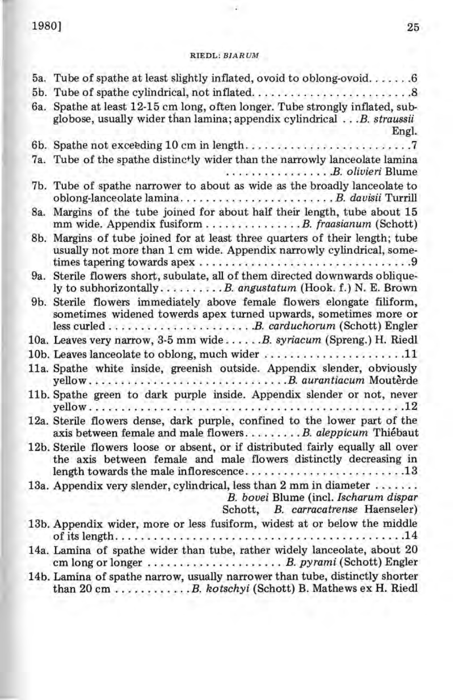# 1980] 25

# RIEDL: *BIAR UM*

 $\sim$   $\sim$ 

|     | 5a. Tube of spathe at least slightly inflated, ovoid to oblong-ovoid 6                                                                                                                          |
|-----|-------------------------------------------------------------------------------------------------------------------------------------------------------------------------------------------------|
| 6а. | Spathe at least 12-15 cm long, often longer. Tube strongly inflated, sub-<br>globose, usually wider than lamina; appendix cylindrical B. straussii<br>Engl.                                     |
|     |                                                                                                                                                                                                 |
|     | 7a. Tube of the spathe distinctly wider than the narrowly lanceolate lamina<br>B. olivieri Blume                                                                                                |
|     | 7b. Tube of spathe narrower to about as wide as the broadly lanceolate to                                                                                                                       |
|     | 8a. Margins of the tube joined for about half their length, tube about 15<br>mm wide. Appendix fusiform B. fraasianum (Schott)                                                                  |
|     | 8b. Margins of tube joined for at least three quarters of their length; tube<br>usually not more than 1 cm wide. Appendix narrowly cylindrical, some-                                           |
| 9a. | Sterile flowers short, subulate, all of them directed downwards oblique-<br>ly to subhorizontallyB. angustatum (Hook. f.) N. E. Brown                                                           |
|     | 9b. Sterile flowers immediately above female flowers elongate filiform,<br>sometimes widened towerds apex turned upwards, sometimes more or                                                     |
|     | 10a. Leaves very narrow, 3-5 mm wide  B. syriacum (Spreng.) H. Riedl                                                                                                                            |
|     | 10b. Leaves lanceolate to oblong, much wider $\ldots \ldots \ldots \ldots \ldots \ldots 11$                                                                                                     |
|     | 11a. Spathe white inside, greenish outside. Appendix slender, obviously                                                                                                                         |
|     | 11b. Spathe green to dark purple inside. Appendix slender or not, never                                                                                                                         |
|     | 12a. Sterile flowers dense, dark purple, confined to the lower part of the<br>axis between female and male flowersB. aleppicum Thiébaut                                                         |
|     | 12b. Sterile flowers loose or absent, or if distributed fairly equally all over<br>the axis between female and male flowers distinctly decreasing in<br>length towards the male inflorescence13 |
|     | 13a. Appendix very slender, cylindrical, less than 2 mm in diameter<br>B. bovei Blume (incl. Ischarum dispar<br>Schott, B. carracatrense Haenseler)                                             |
|     | 13b. Appendix wider, more or less fusiform, widest at or below the middle                                                                                                                       |
|     | 14a. Lamina of spathe wider than tube, rather widely lanceolate, about 20                                                                                                                       |
|     | 14b. Lamina of spathe narrow, usually narrower than tube, distinctly shorter<br>than 20 cm B. kotschyi (Schott) B. Mathews ex H. Riedl                                                          |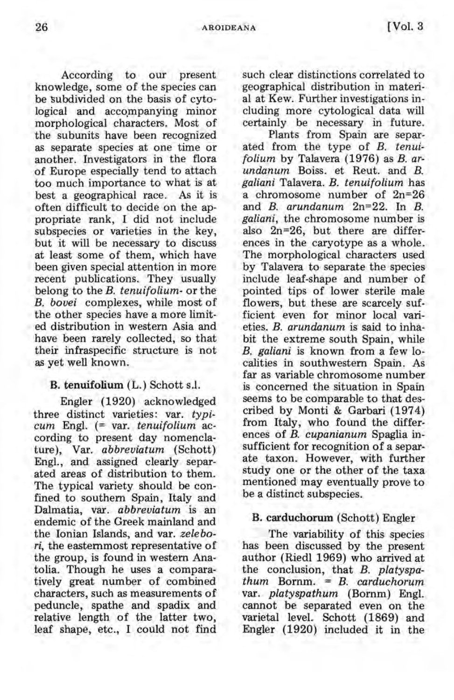According to our present knowledge, some of the species can be subdivided on the basis of cytological and accompanying minor morphological characters, Most of the subunits have been recognized as separate species at one time or another. Investigators in the flora of Europe especially tend to attach too much importance to what is at best a geographical race. As it is often difficult to decide on the appropriate rank, I did not include subspecies or varieties in the key, but it will be necessary to discuss at least some of them, which have been given special attention in more recent publications. They usually belong to the *B. tenuifolium-* or the *B. bovei* complexes, while most of the other species have a more limited distribution in western Asia and have been rarely collected, so that their infraspecific structure is not as yet well known.

# B. tenuifolium (L.) Schott s.l.

Engler (1920) acknowledged three distinct varieties: var. *typicum* Engl. (= var. *tenuifolium* according to present day nomenclature), Var. *abbreviatum* (Schott) Engl., and assigned clearly separated areas of distribution to them. The typical variety should be confined to southern Spain, Italy and Dalmatia, var. *abbreviatum* is an endemic of the Greek mainland and the Ionian Islands, and var. *zelebori,* the easternmost representative of the group, is found in western Anatolia. Though he uses a comparatively great number of combined characters, such as measurements of peduncle, spathe and spadix and relative length of the latter two, leaf shape, etc., I could not find

such clear distinctions correlated to geographical distribution in material at Kew. Further investigations including more cytological data will certainly be necessary in future.

Plants from Spain are separated from the type of *B. tenuifolium* by Talavera (1976) as *B. arundanum* Boiss. et Reut. and *B. galiani* Talavera. *B. tenuifolium* has a chromosome number of 2n=26 and *B, arundanum* 2n=22. In *B. galiani,* the chromosome number is also 2n=26, but there are differences in the caryotype as a whole. The morphological characters used by Talavera to separate the species include leaf-shape and number of pointed tips of lower sterile male flowers, but these are scarcely sufficient even for minor local varieties. *B. arundanum* is said to inhabit the extreme south Spain, while *B. galiani* is known from a few localities in southwestern Spain. As far as variable chromosome number is concerned the situation in Spain seems to be comparable to that described by Monti & Garbari (1974) from Italy, who found the differences of *B. cupanianum* Spaglia insufficient for recognition of a separate taxon. However, with further study one or the other of the taxa mentioned may eventually prove to be a distinct subspecies.

#### B. carduchorum (Schott) Engler

The variability of this species has been discussed by the present author (Riedl 1969) who arrived at the conclusion, that *B. platyspathum* Bornm. = *B. carduchorum*  var. *platyspathum* (Bornm) Engl. cannot be separated even on the varietal level. Schott (1869) and Engler (1920) included it in the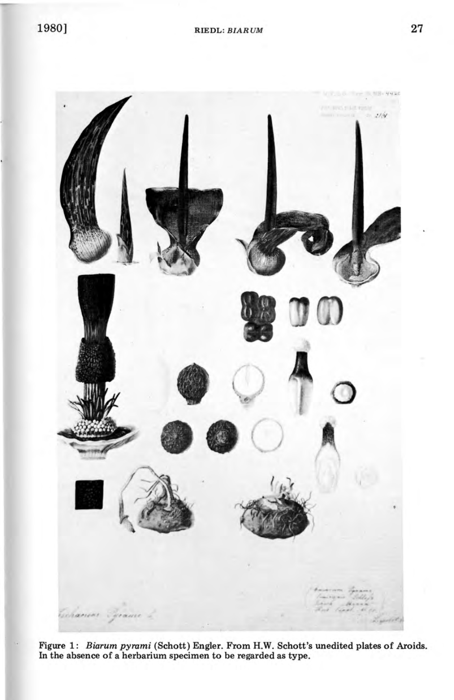

Figure 1: *Biarum pyrami* (Schott) Engler. From H.W. Schott's unedited plates of Aroids. In the absence of a herbarium specimen to be regarded as type.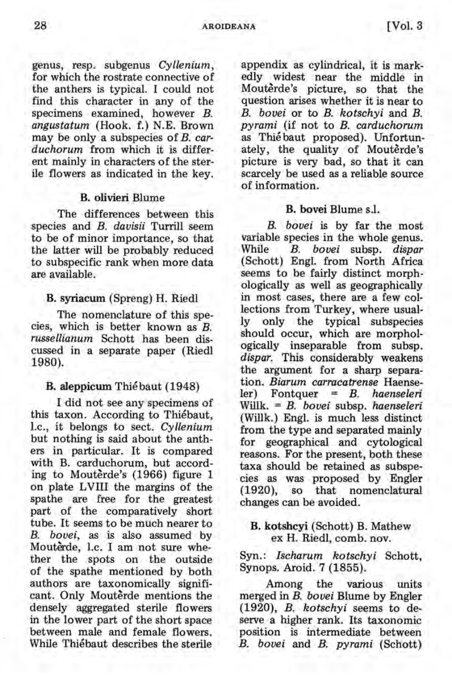genus, resp. subgenus *Cyllenium,*  for which the rostrate connective of the anthers is typical. I could not find this character in any of the specimens examined, however B. *angustatum* (Hook. f.) N.E. Brown may be only a subspecies of *B. carduchorum* from which it is different mainly in characters of the sterile flowers as indicated in the key.

## B. olivieri Blume

The differences between this species and *B. davisii* Turrill seem to be of minor importance, so that the latter will be probably reduced to subspecific rank when more data are available.

#### B. syrlacum (Spreng) H. Riedl

The nomenclature of this species, which is better known as *B. russellianum* Schott has been discussed in a separate paper (Riedl 1980).

#### B. aleppicum Thiébaut (1948)

I did not see any specimens of this taxon. According to Thiebaut, l.c., it belongs to sect. *Cyllenium*  but nothing is said about the anthers in particular. It is compared with B. carduchorum, but according to Mouterde's (1966) figure 1 on plate LVIII the margins of the spathe are free for the greatest part of the comparatively short tube. It seems to be much nearer to *B. bovei,* as is also assumed by Mouterde, l.c. I am not sure whether the spots on the outside of the spathe mentioned by both authors are taxonomically significant. Only Mouterde mentions the densely aggregated sterile flowers in the lower part of the short space between male and female flowers. While Thiebaut describes the sterile

appendix as cylindrical, it is markedly widest near the middle in Mouterde's picture, so that the question arises whether it is near to *B. bovei* or to *B. kotschyi* and *B. pyrami* (if not to *B. carduchorum*  as Thie baut proposed). Unfortunately, the quality of Mouterde's picture is very bad, so that it can scarcely be used as a reliable source of information.

#### B. bovei Blume s.l.

*B. bovei* is by far the most variable species in the whole genus. While *B. bovei* subsp. *dispar*  (Schott) Engl. from North Africa seems to be fairly distinct morphologically as well as geographically in most cases, there are a few collections from Turkey, where usually only the typical subspecies should occur, which are morphologically inseparable from subsp. *dispar.* This considerably weakens the argument for a sharp separation. *Biarum carracatrense* Haenseler) Fontquer = *B. haenseleri*  Willk. = *B. bovei* subsp. *haenseleri*  (Willk.) Engl. is much less distinct from the type and separated mainly for geographical and cytological reasons. For the present, both these taxa should be retained as subspecies as was proposed by Engler (1920), so that nomenclatural changes can be avoided.

### B. kotshcyi (Schott) B. Mathew ex H. Riedl, comb. nov.

### Syn.: *Ischarum kotschyi* Schott, Synops. Aroid. 7 (1855).

Among the various units merged in *B. bovei* Blume by Engler *(1920), B. kotschyi* seems to deserve a higher rank. Its taxonomic position is intermediate between *B. bovei* and *B. pyrami* (Schott)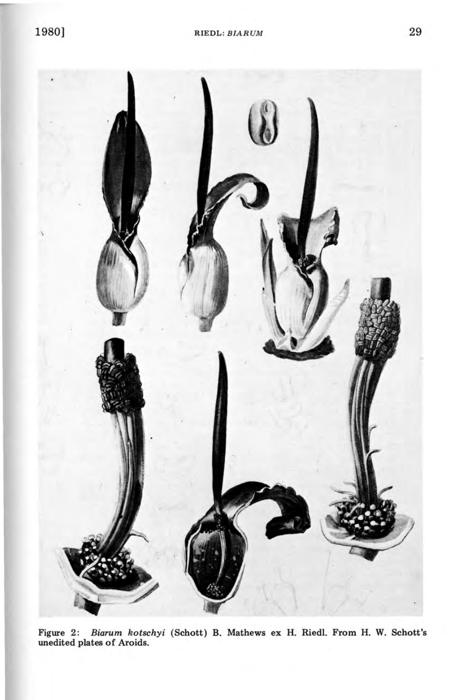

Figure 2: *Biarum kotschyi* (Schott) B. Mathews ex H. Riedl. From H. W. Schott's unedited plates of Aroids.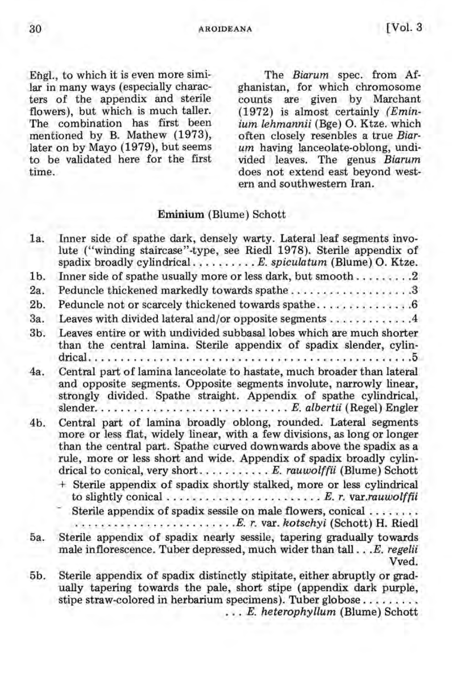30 AROIDEANA [Vol. 3

Engl., to which it is even more similar in many ways (especially characters of the appendix and sterile flowers), but which is much taller. The combination has first been mentioned by B. Mathew (1973), later on by Mayo (1979), but seems to be validated here for the first time.

The *Biarum* spec. from Afghanistan, for which chromosome counts are given by Marchant (1972) is almost certainly *(Eminium lehmannii* (Bge) O. Ktze. which often closely resenbles a true *Biarum* having lanceolate-oblong, undivided leaves. The genus *Biarum*  does not extend east beyond western and southwestern Iran.

### **Eminium** (Blume) Schott

| 1a.            | Inner side of spathe dark, densely warty. Lateral leaf segments invo-<br>lute ("winding staircase"-type, see Riedl 1978). Sterile appendix of<br>spadix broadly cylindricalE. spiculatum (Blume) O. Ktze.                                                                                                                                                   |
|----------------|-------------------------------------------------------------------------------------------------------------------------------------------------------------------------------------------------------------------------------------------------------------------------------------------------------------------------------------------------------------|
| 1b.            | Inner side of spathe usually more or less dark, but smooth2                                                                                                                                                                                                                                                                                                 |
| 2a.            | Peduncle thickened markedly towards spathe3                                                                                                                                                                                                                                                                                                                 |
| 2 <sub>b</sub> | Peduncle not or scarcely thickened towards spathe 6                                                                                                                                                                                                                                                                                                         |
| 3a.            | Leaves with divided lateral and/or opposite segments  4                                                                                                                                                                                                                                                                                                     |
| 3b.            | Leaves entire or with undivided subbasal lobes which are much shorter<br>than the central lamina. Sterile appendix of spadix slender, cylin-                                                                                                                                                                                                                |
| 4a.            | Central part of lamina lanceolate to hastate, much broader than lateral<br>and opposite segments. Opposite segments involute, narrowly linear,<br>strongly divided. Spathe straight. Appendix of spathe cylindrical,                                                                                                                                        |
| 4 <sub>b</sub> | Central part of lamina broadly oblong, rounded. Lateral segments<br>more or less flat, widely linear, with a few divisions, as long or longer<br>than the central part. Spathe curved downwards above the spadix as a<br>rule, more or less short and wide. Appendix of spadix broadly cylin-<br>drical to conical, very short E. rauwolffii (Blume) Schott |
|                | + Sterile appendix of spadix shortly stalked, more or less cylindrical<br>to slightly conical $\ldots \ldots \ldots \ldots \ldots \ldots \ldots$ . E. r. var.rauwolffii                                                                                                                                                                                     |
|                | Sterile appendix of spadix sessile on male flowers, conical                                                                                                                                                                                                                                                                                                 |
| 5а.            | Sterile appendix of spadix nearly sessile, tapering gradually towards<br>male inflorescence. Tuber depressed, much wider than tall E. regelii<br>Vved.                                                                                                                                                                                                      |
| 5b.            | Sterile appendix of spadix distinctly stipitate, either abruptly or grad-<br>ually tapering towards the pale, short stipe (appendix dark purple,                                                                                                                                                                                                            |

stipe straw-colored in herbarium specimens). Tuber globose ........ . . . *E. heterophyllum* (Blume) Schott